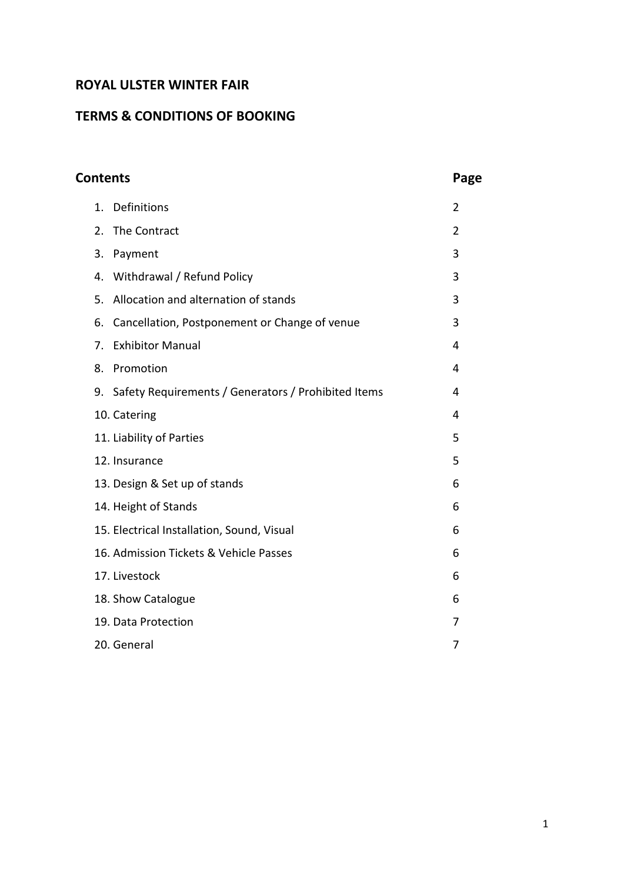# **ROYAL ULSTER WINTER FAIR**

# **TERMS & CONDITIONS OF BOOKING**

| <b>Contents</b> |                                                           | Page           |
|-----------------|-----------------------------------------------------------|----------------|
|                 | Definitions<br>1.                                         | $\overline{2}$ |
|                 | The Contract<br>2.                                        | $\overline{2}$ |
|                 | 3.<br>Payment                                             | 3              |
|                 | Withdrawal / Refund Policy<br>4.                          | 3              |
|                 | Allocation and alternation of stands<br>5.                | 3              |
|                 | Cancellation, Postponement or Change of venue<br>6.       | 3              |
|                 | <b>Exhibitor Manual</b><br>7.                             | 4              |
|                 | Promotion<br>8.                                           | 4              |
|                 | Safety Requirements / Generators / Prohibited Items<br>9. | 4              |
|                 | 10. Catering                                              | 4              |
|                 | 11. Liability of Parties                                  | 5              |
|                 | 12. Insurance                                             | 5              |
|                 | 13. Design & Set up of stands                             | 6              |
|                 | 14. Height of Stands                                      | 6              |
|                 | 15. Electrical Installation, Sound, Visual                | 6              |
|                 | 16. Admission Tickets & Vehicle Passes                    | 6              |
|                 | 17. Livestock                                             | 6              |
|                 | 18. Show Catalogue                                        | 6              |
|                 | 19. Data Protection                                       | 7              |
|                 | 20. General                                               | 7              |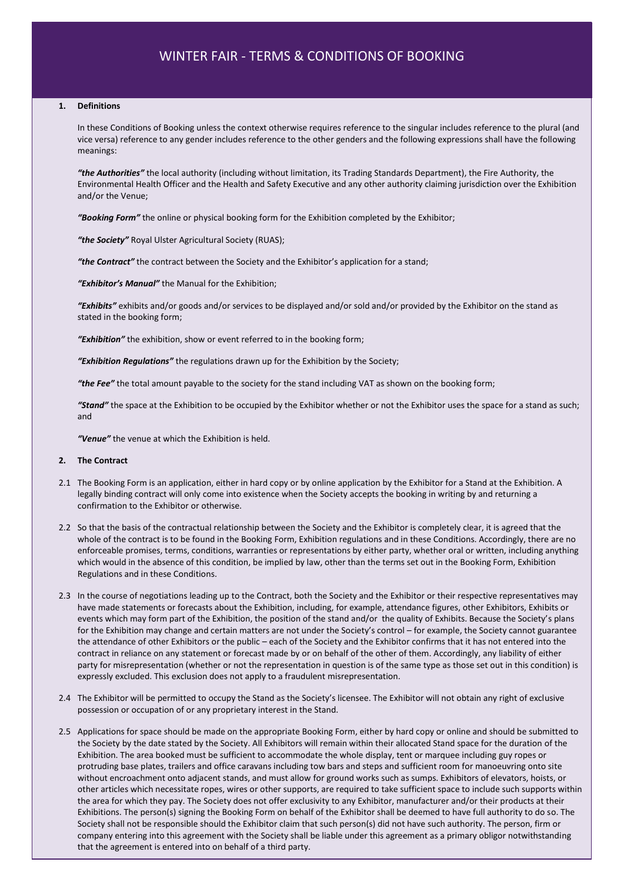#### **1. Definitions**

In these Conditions of Booking unless the context otherwise requires reference to the singular includes reference to the plural (and vice versa) reference to any gender includes reference to the other genders and the following expressions shall have the following meanings:

*"the Authorities"* the local authority (including without limitation, its Trading Standards Department), the Fire Authority, the Environmental Health Officer and the Health and Safety Executive and any other authority claiming jurisdiction over the Exhibition and/or the Venue;

*"Booking Form"* the online or physical booking form for the Exhibition completed by the Exhibitor;

*"the Society"* Royal Ulster Agricultural Society (RUAS);

*"the Contract"* the contract between the Society and the Exhibitor's application for a stand;

*"Exhibitor's Manual"* the Manual for the Exhibition;

*"Exhibits"* exhibits and/or goods and/or services to be displayed and/or sold and/or provided by the Exhibitor on the stand as stated in the booking form;

*"Exhibition"* the exhibition, show or event referred to in the booking form;

*"Exhibition Regulations"* the regulations drawn up for the Exhibition by the Society;

*"the Fee"* the total amount payable to the society for the stand including VAT as shown on the booking form;

*"Stand"* the space at the Exhibition to be occupied by the Exhibitor whether or not the Exhibitor uses the space for a stand as such; and

*"Venue"* the venue at which the Exhibition is held.

#### **2. The Contract**

- 2.1 The Booking Form is an application, either in hard copy or by online application by the Exhibitor for a Stand at the Exhibition. A legally binding contract will only come into existence when the Society accepts the booking in writing by and returning a confirmation to the Exhibitor or otherwise.
- 2.2 So that the basis of the contractual relationship between the Society and the Exhibitor is completely clear, it is agreed that the whole of the contract is to be found in the Booking Form, Exhibition regulations and in these Conditions. Accordingly, there are no enforceable promises, terms, conditions, warranties or representations by either party, whether oral or written, including anything which would in the absence of this condition, be implied by law, other than the terms set out in the Booking Form, Exhibition Regulations and in these Conditions.
- 2.3 In the course of negotiations leading up to the Contract, both the Society and the Exhibitor or their respective representatives may have made statements or forecasts about the Exhibition, including, for example, attendance figures, other Exhibitors, Exhibits or events which may form part of the Exhibition, the position of the stand and/or the quality of Exhibits. Because the Society's plans for the Exhibition may change and certain matters are not under the Society's control – for example, the Society cannot guarantee the attendance of other Exhibitors or the public – each of the Society and the Exhibitor confirms that it has not entered into the contract in reliance on any statement or forecast made by or on behalf of the other of them. Accordingly, any liability of either party for misrepresentation (whether or not the representation in question is of the same type as those set out in this condition) is expressly excluded. This exclusion does not apply to a fraudulent misrepresentation.
- 2.4 The Exhibitor will be permitted to occupy the Stand as the Society's licensee. The Exhibitor will not obtain any right of exclusive possession or occupation of or any proprietary interest in the Stand.
- Society shall not be responsible should the Exhibitor claim that such person(s) did not have such authority. The person, firm or 2.5 Applications for space should be made on the appropriate Booking Form, either by hard copy or online and should be submitted to the Society by the date stated by the Society. All Exhibitors will remain within their allocated Stand space for the duration of the Exhibition. The area booked must be sufficient to accommodate the whole display, tent or marquee including guy ropes or protruding base plates, trailers and office caravans including tow bars and steps and sufficient room for manoeuvring onto site without encroachment onto adjacent stands, and must allow for ground works such as sumps. Exhibitors of elevators, hoists, or other articles which necessitate ropes, wires or other supports, are required to take sufficient space to include such supports within the area for which they pay. The Society does not offer exclusivity to any Exhibitor, manufacturer and/or their products at their Exhibitions. The person(s) signing the Booking Form on behalf of the Exhibitor shall be deemed to have full authority to do so. The company entering into this agreement with the Society shall be liable under this agreement as a primary obligor notwithstanding that the agreement is entered into on behalf of a third party.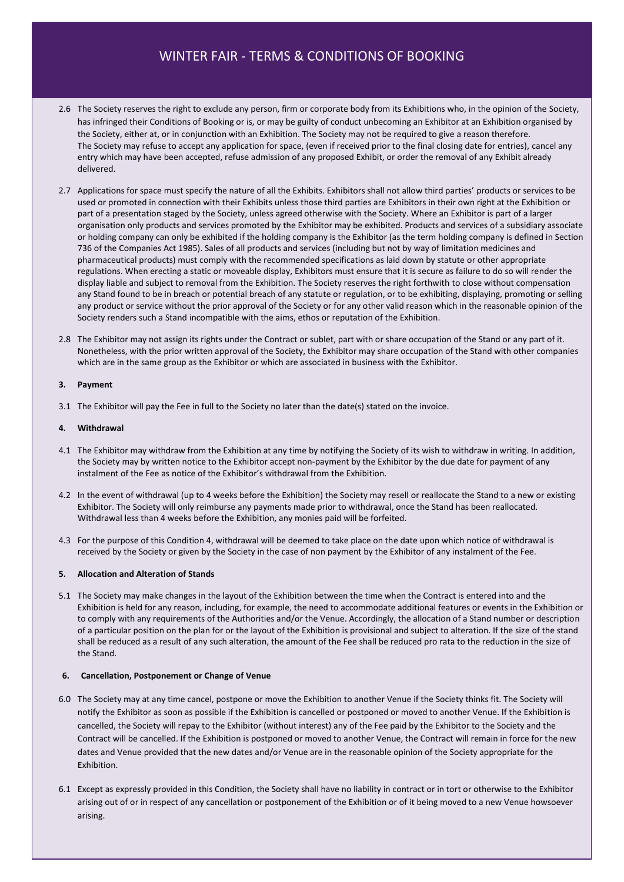- 2.6 The Society reserves the right to exclude any person, firm or corporate body from its Exhibitions who, in the opinion of the Society, has infringed their Conditions of Booking or is, or may be guilty of conduct unbecoming an Exhibitor at an Exhibition organised by the Society, either at, or in conjunction with an Exhibition. The Society may not be required to give a reason therefore. The Society may refuse to accept any application for space, (even if received prior to the final closing date for entries), cancel any entry which may have been accepted, refuse admission of any proposed Exhibit, or order the removal of any Exhibit already delivered.
- 2.7 Applications for space must specify the nature of all the Exhibits. Exhibitors shall not allow third parties' products or services to be used or promoted in connection with their Exhibits unless those third parties are Exhibitors in their own right at the Exhibition or part of a presentation staged by the Society, unless agreed otherwise with the Society. Where an Exhibitor is part of a larger organisation only products and services promoted by the Exhibitor may be exhibited. Products and services of a subsidiary associate or holding company can only be exhibited if the holding company is the Exhibitor (as the term holding company is defined in Section 736 of the Companies Act 1985). Sales of all products and services (including but not by way of limitation medicines and pharmaceutical products) must comply with the recommended specifications as laid down by statute or other appropriate regulations. When erecting a static or moveable display, Exhibitors must ensure that it is secure as failure to do so will render the display liable and subject to removal from the Exhibition. The Society reserves the right forthwith to close without compensation any Stand found to be in breach or potential breach of any statute or regulation, or to be exhibiting, displaying, promoting or selling any product or service without the prior approval of the Society or for any other valid reason which in the reasonable opinion of the Society renders such a Stand incompatible with the aims, ethos or reputation of the Exhibition.
- 2.8 The Exhibitor may not assign its rights under the Contract or sublet, part with or share occupation of the Stand or any part of it. Nonetheless, with the prior written approval of the Society, the Exhibitor may share occupation of the Stand with other companies which are in the same group as the Exhibitor or which are associated in business with the Exhibitor.

#### **3. Payment**

3.1 The Exhibitor will pay the Fee in full to the Society no later than the date(s) stated on the invoice.

#### **4. Withdrawal**

- 4.1 The Exhibitor may withdraw from the Exhibition at any time by notifying the Society of its wish to withdraw in writing. In addition, the Society may by written notice to the Exhibitor accept non-payment by the Exhibitor by the due date for payment of any instalment of the Fee as notice of the Exhibitor's withdrawal from the Exhibition.
- 4.2 In the event of withdrawal (up to 4 weeks before the Exhibition) the Society may resell or reallocate the Stand to a new or existing Exhibitor. The Society will only reimburse any payments made prior to withdrawal, once the Stand has been reallocated. Withdrawal less than 4 weeks before the Exhibition, any monies paid will be forfeited.
- 4.3 For the purpose of this Condition 4, withdrawal will be deemed to take place on the date upon which notice of withdrawal is received by the Society or given by the Society in the case of non payment by the Exhibitor of any instalment of the Fee.

## **5. Allocation and Alteration of Stands**

5.1 The Society may make changes in the layout of the Exhibition between the time when the Contract is entered into and the Exhibition is held for any reason, including, for example, the need to accommodate additional features or events in the Exhibition or to comply with any requirements of the Authorities and/or the Venue. Accordingly, the allocation of a Stand number or description of a particular position on the plan for or the layout of the Exhibition is provisional and subject to alteration. If the size of the stand shall be reduced as a result of any such alteration, the amount of the Fee shall be reduced pro rata to the reduction in the size of the Stand.

#### **6. Cancellation, Postponement or Change of Venue**

- 6.0 The Society may at any time cancel, postpone or move the Exhibition to another Venue if the Society thinks fit. The Society will notify the Exhibitor as soon as possible if the Exhibition is cancelled or postponed or moved to another Venue. If the Exhibition is cancelled, the Society will repay to the Exhibitor (without interest) any of the Fee paid by the Exhibitor to the Society and the Contract will be cancelled. If the Exhibition is postponed or moved to another Venue, the Contract will remain in force for the new dates and Venue provided that the new dates and/or Venue are in the reasonable opinion of the Society appropriate for the Exhibition.
- 6.1 Except as expressly provided in this Condition, the Society shall have no liability in contract or in tort or otherwise to the Exhibitor arising out of or in respect of any cancellation or postponement of the Exhibition or of it being moved to a new Venue howsoever arising.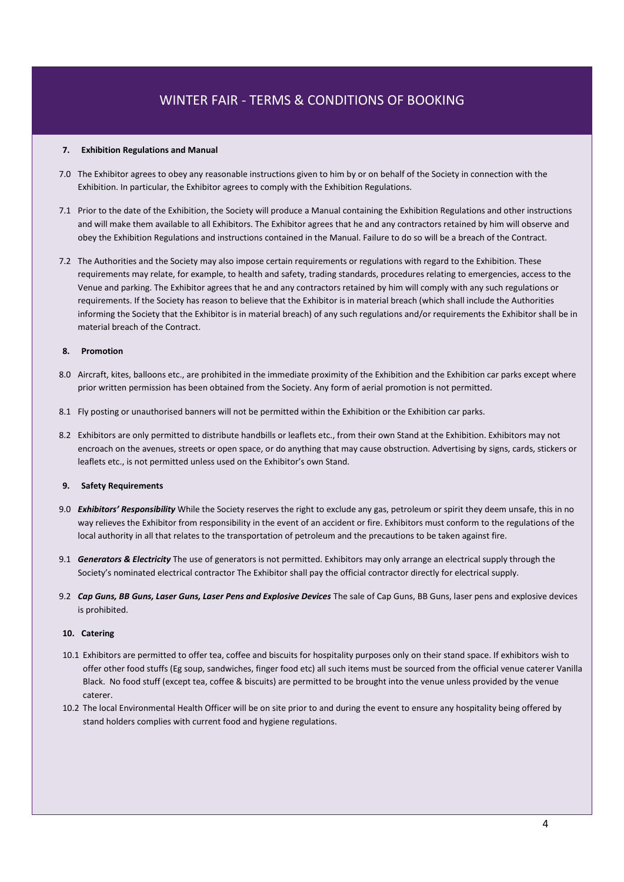#### **7. Exhibition Regulations and Manual**

- 7.0 The Exhibitor agrees to obey any reasonable instructions given to him by or on behalf of the Society in connection with the Exhibition. In particular, the Exhibitor agrees to comply with the Exhibition Regulations.
- 7.1 Prior to the date of the Exhibition, the Society will produce a Manual containing the Exhibition Regulations and other instructions and will make them available to all Exhibitors. The Exhibitor agrees that he and any contractors retained by him will observe and obey the Exhibition Regulations and instructions contained in the Manual. Failure to do so will be a breach of the Contract.
- 7.2 The Authorities and the Society may also impose certain requirements or regulations with regard to the Exhibition. These requirements may relate, for example, to health and safety, trading standards, procedures relating to emergencies, access to the Venue and parking. The Exhibitor agrees that he and any contractors retained by him will comply with any such regulations or requirements. If the Society has reason to believe that the Exhibitor is in material breach (which shall include the Authorities informing the Society that the Exhibitor is in material breach) of any such regulations and/or requirements the Exhibitor shall be in material breach of the Contract.

## **8. Promotion**

- 8.0 Aircraft, kites, balloons etc., are prohibited in the immediate proximity of the Exhibition and the Exhibition car parks except where prior written permission has been obtained from the Society. Any form of aerial promotion is not permitted.
- 8.1 Fly posting or unauthorised banners will not be permitted within the Exhibition or the Exhibition car parks.
- 8.2 Exhibitors are only permitted to distribute handbills or leaflets etc., from their own Stand at the Exhibition. Exhibitors may not encroach on the avenues, streets or open space, or do anything that may cause obstruction. Advertising by signs, cards, stickers or leaflets etc., is not permitted unless used on the Exhibitor's own Stand.

### **9. Safety Requirements**

- 9.0 *Exhibitors' Responsibility* While the Society reserves the right to exclude any gas, petroleum or spirit they deem unsafe, this in no way relieves the Exhibitor from responsibility in the event of an accident or fire. Exhibitors must conform to the regulations of the local authority in all that relates to the transportation of petroleum and the precautions to be taken against fire.
- 9.1 *Generators & Electricity* The use of generators is not permitted. Exhibitors may only arrange an electrical supply through the Society's nominated electrical contractor The Exhibitor shall pay the official contractor directly for electrical supply.
- 9.2 *Cap Guns, BB Guns, Laser Guns, Laser Pens and Explosive Devices* The sale of Cap Guns, BB Guns, laser pens and explosive devices is prohibited.

#### **10. Catering**

- 10.1 Exhibitors are permitted to offer tea, coffee and biscuits for hospitality purposes only on their stand space. If exhibitors wish to offer other food stuffs (Eg soup, sandwiches, finger food etc) all such items must be sourced from the official venue caterer Vanilla Black. No food stuff (except tea, coffee & biscuits) are permitted to be brought into the venue unless provided by the venue caterer.
- 10.2 The local Environmental Health Officer will be on site prior to and during the event to ensure any hospitality being offered by stand holders complies with current food and hygiene regulations.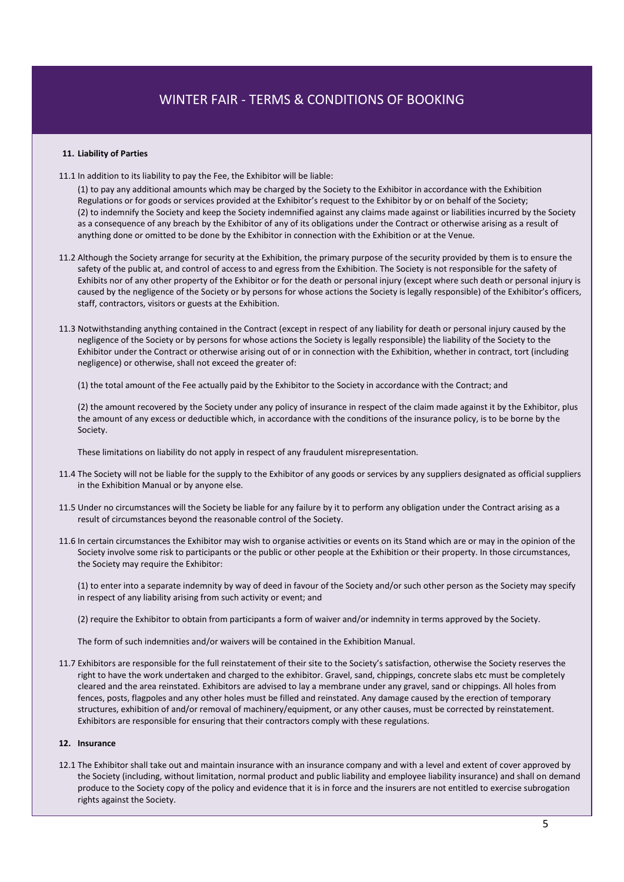## **11. Liability of Parties**

11.1 In addition to its liability to pay the Fee, the Exhibitor will be liable:

(1) to pay any additional amounts which may be charged by the Society to the Exhibitor in accordance with the Exhibition Regulations or for goods or services provided at the Exhibitor's request to the Exhibitor by or on behalf of the Society; (2) to indemnify the Society and keep the Society indemnified against any claims made against or liabilities incurred by the Society as a consequence of any breach by the Exhibitor of any of its obligations under the Contract or otherwise arising as a result of anything done or omitted to be done by the Exhibitor in connection with the Exhibition or at the Venue.

- 11.2 Although the Society arrange for security at the Exhibition, the primary purpose of the security provided by them is to ensure the safety of the public at, and control of access to and egress from the Exhibition. The Society is not responsible for the safety of Exhibits nor of any other property of the Exhibitor or for the death or personal injury (except where such death or personal injury is caused by the negligence of the Society or by persons for whose actions the Society is legally responsible) of the Exhibitor's officers, staff, contractors, visitors or guests at the Exhibition.
- 11.3 Notwithstanding anything contained in the Contract (except in respect of any liability for death or personal injury caused by the negligence of the Society or by persons for whose actions the Society is legally responsible) the liability of the Society to the Exhibitor under the Contract or otherwise arising out of or in connection with the Exhibition, whether in contract, tort (including negligence) or otherwise, shall not exceed the greater of:

(1) the total amount of the Fee actually paid by the Exhibitor to the Society in accordance with the Contract; and

(2) the amount recovered by the Society under any policy of insurance in respect of the claim made against it by the Exhibitor, plus the amount of any excess or deductible which, in accordance with the conditions of the insurance policy, is to be borne by the Society.

These limitations on liability do not apply in respect of any fraudulent misrepresentation.

- 11.4 The Society will not be liable for the supply to the Exhibitor of any goods or services by any suppliers designated as official suppliers in the Exhibition Manual or by anyone else.
- 11.5 Under no circumstances will the Society be liable for any failure by it to perform any obligation under the Contract arising as a result of circumstances beyond the reasonable control of the Society.
- 11.6 In certain circumstances the Exhibitor may wish to organise activities or events on its Stand which are or may in the opinion of the Society involve some risk to participants or the public or other people at the Exhibition or their property. In those circumstances, the Society may require the Exhibitor:

(1) to enter into a separate indemnity by way of deed in favour of the Society and/or such other person as the Society may specify in respect of any liability arising from such activity or event; and

(2) require the Exhibitor to obtain from participants a form of waiver and/or indemnity in terms approved by the Society.

The form of such indemnities and/or waivers will be contained in the Exhibition Manual.

11.7 Exhibitors are responsible for the full reinstatement of their site to the Society's satisfaction, otherwise the Society reserves the right to have the work undertaken and charged to the exhibitor. Gravel, sand, chippings, concrete slabs etc must be completely cleared and the area reinstated. Exhibitors are advised to lay a membrane under any gravel, sand or chippings. All holes from fences, posts, flagpoles and any other holes must be filled and reinstated. Any damage caused by the erection of temporary structures, exhibition of and/or removal of machinery/equipment, or any other causes, must be corrected by reinstatement. Exhibitors are responsible for ensuring that their contractors comply with these regulations.

#### **12. Insurance**

12.1 The Exhibitor shall take out and maintain insurance with an insurance company and with a level and extent of cover approved by the Society (including, without limitation, normal product and public liability and employee liability insurance) and shall on demand produce to the Society copy of the policy and evidence that it is in force and the insurers are not entitled to exercise subrogation rights against the Society.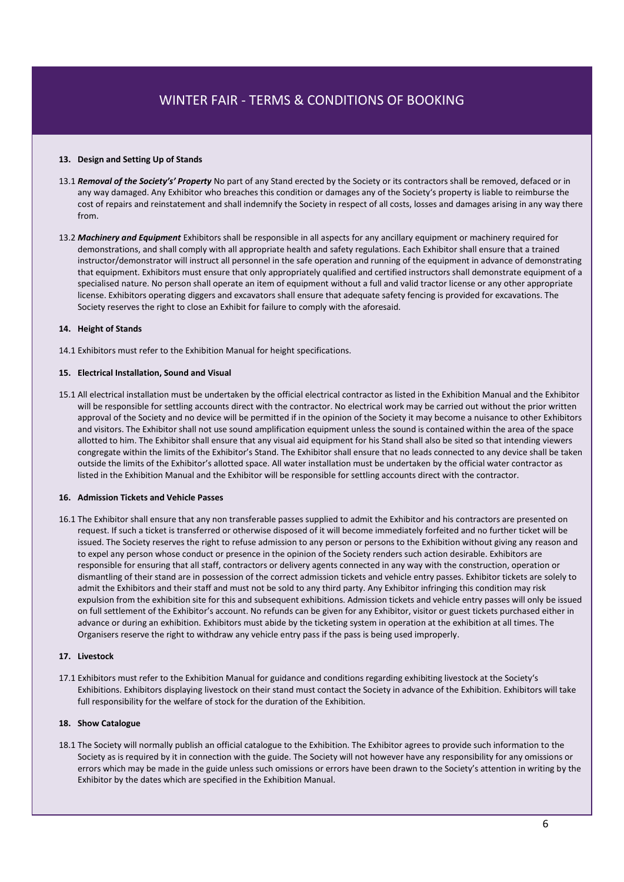### **13. Design and Setting Up of Stands**

- 13.1 *Removal of the Society's' Property* No part of any Stand erected by the Society or its contractors shall be removed, defaced or in any way damaged. Any Exhibitor who breaches this condition or damages any of the Society's property is liable to reimburse the cost of repairs and reinstatement and shall indemnify the Society in respect of all costs, losses and damages arising in any way there from.
- 13.2 *Machinery and Equipment* Exhibitors shall be responsible in all aspects for any ancillary equipment or machinery required for demonstrations, and shall comply with all appropriate health and safety regulations. Each Exhibitor shall ensure that a trained instructor/demonstrator will instruct all personnel in the safe operation and running of the equipment in advance of demonstrating that equipment. Exhibitors must ensure that only appropriately qualified and certified instructors shall demonstrate equipment of a specialised nature. No person shall operate an item of equipment without a full and valid tractor license or any other appropriate license. Exhibitors operating diggers and excavators shall ensure that adequate safety fencing is provided for excavations. The Society reserves the right to close an Exhibit for failure to comply with the aforesaid.

#### **14. Height of Stands**

14.1 Exhibitors must refer to the Exhibition Manual for height specifications.

#### **15. Electrical Installation, Sound and Visual**

15.1 All electrical installation must be undertaken by the official electrical contractor as listed in the Exhibition Manual and the Exhibitor will be responsible for settling accounts direct with the contractor. No electrical work may be carried out without the prior written approval of the Society and no device will be permitted if in the opinion of the Society it may become a nuisance to other Exhibitors and visitors. The Exhibitor shall not use sound amplification equipment unless the sound is contained within the area of the space allotted to him. The Exhibitor shall ensure that any visual aid equipment for his Stand shall also be sited so that intending viewers congregate within the limits of the Exhibitor's Stand. The Exhibitor shall ensure that no leads connected to any device shall be taken outside the limits of the Exhibitor's allotted space. All water installation must be undertaken by the official water contractor as listed in the Exhibition Manual and the Exhibitor will be responsible for settling accounts direct with the contractor.

#### **16. Admission Tickets and Vehicle Passes**

16.1 The Exhibitor shall ensure that any non transferable passes supplied to admit the Exhibitor and his contractors are presented on request. If such a ticket is transferred or otherwise disposed of it will become immediately forfeited and no further ticket will be issued. The Society reserves the right to refuse admission to any person or persons to the Exhibition without giving any reason and to expel any person whose conduct or presence in the opinion of the Society renders such action desirable. Exhibitors are responsible for ensuring that all staff, contractors or delivery agents connected in any way with the construction, operation or dismantling of their stand are in possession of the correct admission tickets and vehicle entry passes. Exhibitor tickets are solely to admit the Exhibitors and their staff and must not be sold to any third party. Any Exhibitor infringing this condition may risk expulsion from the exhibition site for this and subsequent exhibitions. Admission tickets and vehicle entry passes will only be issued on full settlement of the Exhibitor's account. No refunds can be given for any Exhibitor, visitor or guest tickets purchased either in advance or during an exhibition. Exhibitors must abide by the ticketing system in operation at the exhibition at all times. The Organisers reserve the right to withdraw any vehicle entry pass if the pass is being used improperly.

#### **17. Livestock**

17.1 Exhibitors must refer to the Exhibition Manual for guidance and conditions regarding exhibiting livestock at the Society's Exhibitions. Exhibitors displaying livestock on their stand must contact the Society in advance of the Exhibition. Exhibitors will take full responsibility for the welfare of stock for the duration of the Exhibition.

#### **18. Show Catalogue**

18.1 The Society will normally publish an official catalogue to the Exhibition. The Exhibitor agrees to provide such information to the Society as is required by it in connection with the guide. The Society will not however have any responsibility for any omissions or errors which may be made in the guide unless such omissions or errors have been drawn to the Society's attention in writing by the Exhibitor by the dates which are specified in the Exhibition Manual.